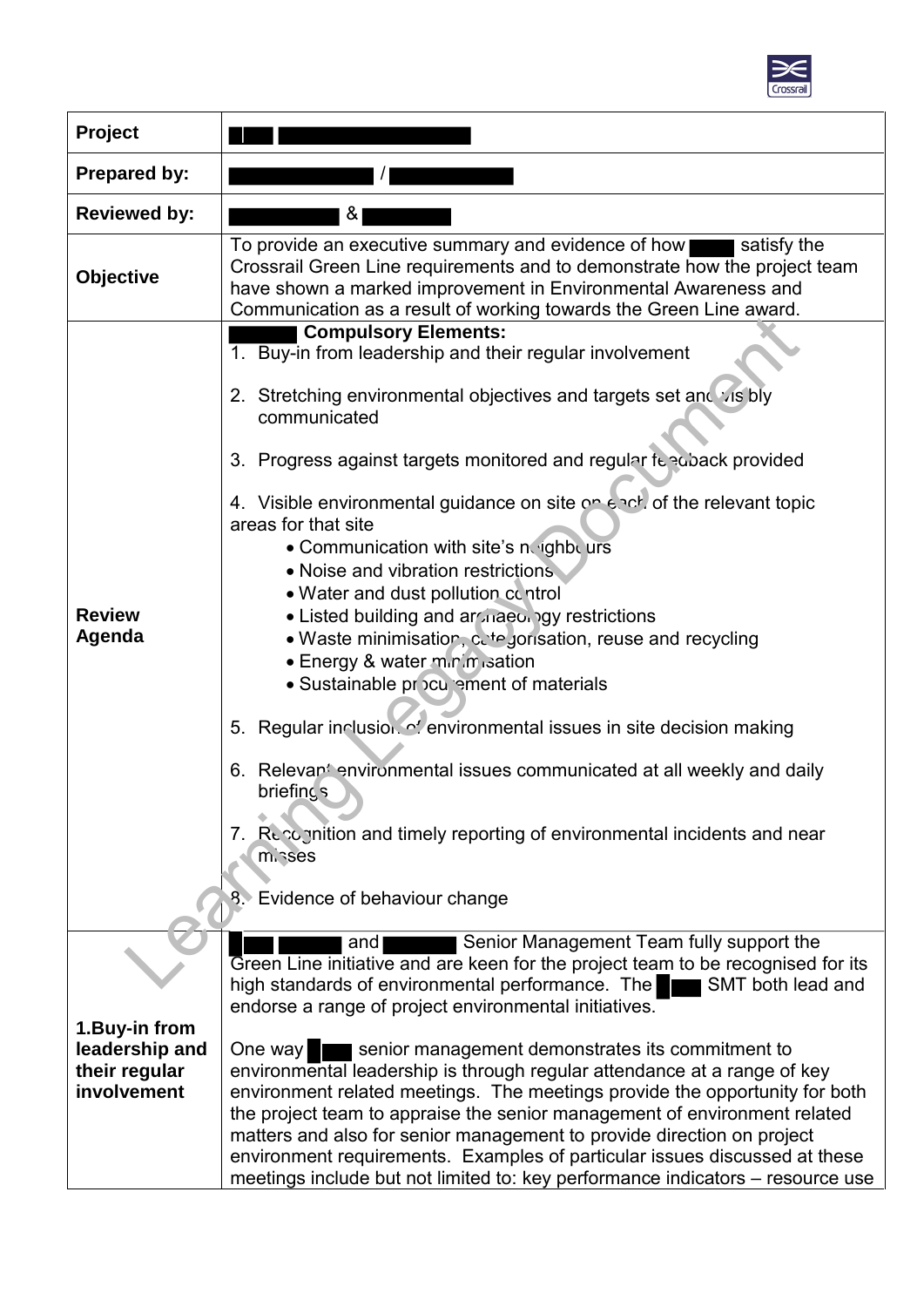

| <b>Project</b>                                                   |                                                                                                                                                                                                                                                                                                                                                                                                                                                                                                                                                                                                                                                                                                                                                                                                                                                                                                                             |
|------------------------------------------------------------------|-----------------------------------------------------------------------------------------------------------------------------------------------------------------------------------------------------------------------------------------------------------------------------------------------------------------------------------------------------------------------------------------------------------------------------------------------------------------------------------------------------------------------------------------------------------------------------------------------------------------------------------------------------------------------------------------------------------------------------------------------------------------------------------------------------------------------------------------------------------------------------------------------------------------------------|
| Prepared by:                                                     |                                                                                                                                                                                                                                                                                                                                                                                                                                                                                                                                                                                                                                                                                                                                                                                                                                                                                                                             |
| <b>Reviewed by:</b>                                              | &                                                                                                                                                                                                                                                                                                                                                                                                                                                                                                                                                                                                                                                                                                                                                                                                                                                                                                                           |
| <b>Objective</b>                                                 | To provide an executive summary and evidence of how<br>satisfy the<br>Crossrail Green Line requirements and to demonstrate how the project team<br>have shown a marked improvement in Environmental Awareness and<br>Communication as a result of working towards the Green Line award.                                                                                                                                                                                                                                                                                                                                                                                                                                                                                                                                                                                                                                     |
| <b>Review</b><br>Agenda                                          | <b>Compulsory Elements:</b><br>1. Buy-in from leadership and their regular involvement<br>2. Stretching environmental objectives and targets set and visibly<br>communicated<br>3. Progress against targets monitored and regular feedback provided<br>4. Visible environmental guidance on site on each, of the relevant topic<br>areas for that site<br>. Communication with site's noighbours<br>• Noise and vibration restrictions<br>. Water and dust pollution control<br>. Listed building and archaeology restrictions<br>• Waste minimisation, cetegorisation, reuse and recycling<br>• Energy & water minimisation<br>• Sustainable procurement of materials<br>5. Regular inclusion. of environmental issues in site decision making<br>Relevant environmental issues communicated at all weekly and daily<br>6.<br>briefings<br>7. Reportion and timely reporting of environmental incidents and near<br>misses |
|                                                                  | Evidence of behaviour change                                                                                                                                                                                                                                                                                                                                                                                                                                                                                                                                                                                                                                                                                                                                                                                                                                                                                                |
|                                                                  | Senior Management Team fully support the<br>and<br>Green Line initiative and are keen for the project team to be recognised for its<br>high standards of environmental performance. The<br>SMT both lead and<br>d عين ا<br>endorse a range of project environmental initiatives.                                                                                                                                                                                                                                                                                                                                                                                                                                                                                                                                                                                                                                            |
| 1. Buy-in from<br>leadership and<br>their regular<br>involvement | senior management demonstrates its commitment to<br>One way<br>environmental leadership is through regular attendance at a range of key<br>environment related meetings. The meetings provide the opportunity for both<br>the project team to appraise the senior management of environment related<br>matters and also for senior management to provide direction on project<br>environment requirements. Examples of particular issues discussed at these<br>meetings include but not limited to: key performance indicators - resource use                                                                                                                                                                                                                                                                                                                                                                               |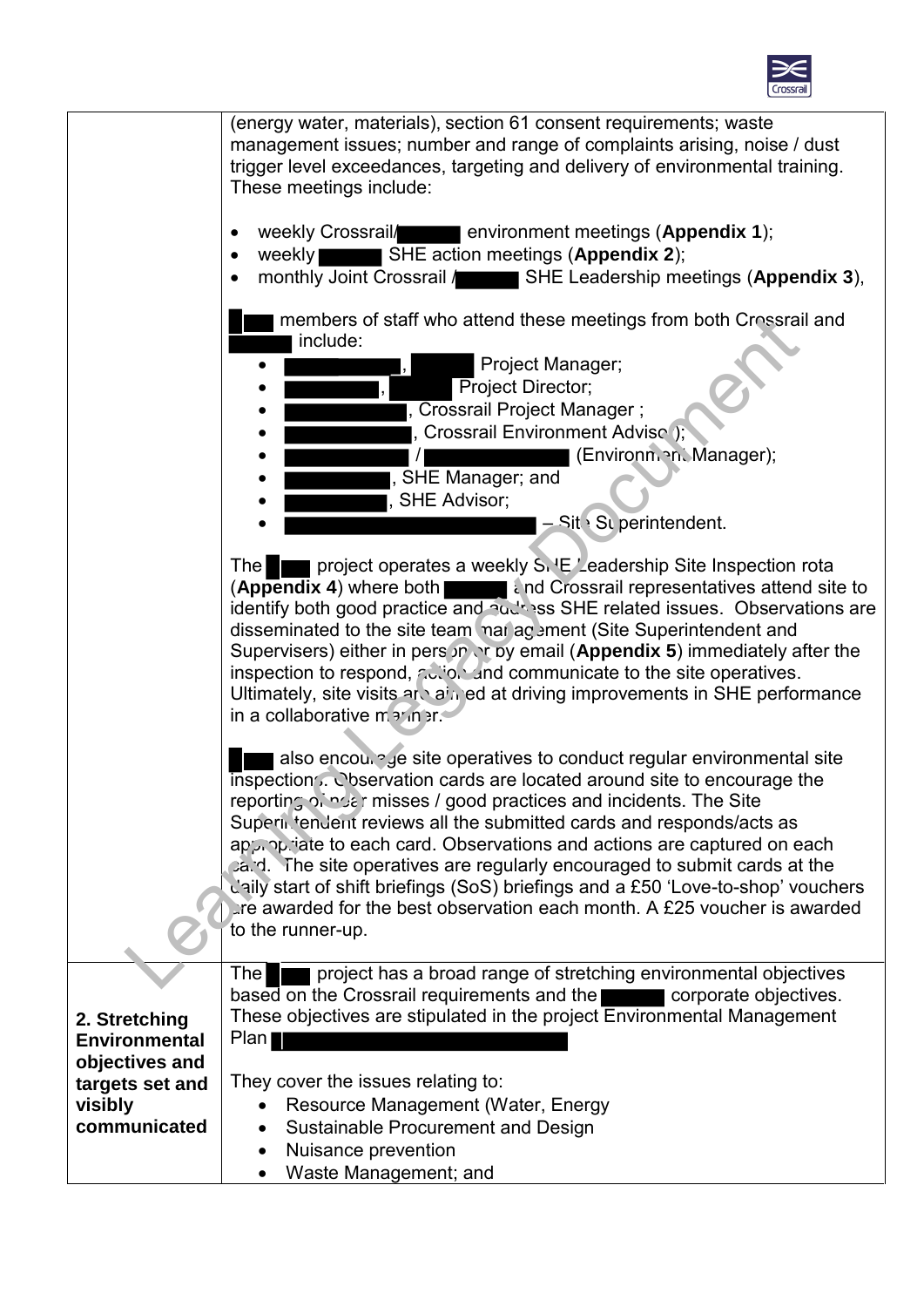

|                         | (energy water, materials), section 61 consent requirements; waste<br>management issues; number and range of complaints arising, noise / dust<br>trigger level exceedances, targeting and delivery of environmental training.<br>These meetings include:                                                                                                                                                                                                                                                                                                                                                                                                   |
|-------------------------|-----------------------------------------------------------------------------------------------------------------------------------------------------------------------------------------------------------------------------------------------------------------------------------------------------------------------------------------------------------------------------------------------------------------------------------------------------------------------------------------------------------------------------------------------------------------------------------------------------------------------------------------------------------|
|                         | weekly Crossrail/ environment meetings (Appendix 1);<br>SHE action meetings (Appendix 2);<br>weekly<br>monthly Joint Crossrail / SHE Leadership meetings (Appendix 3),                                                                                                                                                                                                                                                                                                                                                                                                                                                                                    |
|                         | members of staff who attend these meetings from both Crossrail and<br>include:<br>Project Manager;<br>Project Director;<br>Crossrail Project Manager;<br>Crossrail Environment Advise );<br>(Environn. n. Manager);<br>SHE Manager; and<br>SHE Advisor;<br>$-$ Sit $\cdot$ Su perintendent.                                                                                                                                                                                                                                                                                                                                                               |
|                         | project operates a weekly S. E Leadership Site Inspection rota<br><b>The</b><br>(Appendix 4) where both <b>the study of a contract of a contract of a contract of a contract of a contract of Appendix 4)</b> where both<br>identify both good practice and audiosal SHE related issues. Observations are<br>disseminated to the site team mar agement (Site Superintendent and<br>Supervisers) either in pers in or by email (Appendix 5) immediately after the<br>inspection to respond, action and communicate to the site operatives.<br>Ultimately, site visits and ain ed at driving improvements in SHE performance<br>in a collaborative marinar. |
|                         | also encoul of site operatives to conduct regular environmental site<br>inspection Conservation cards are located around site to encourage the<br>reporting of not misses / good practices and incidents. The Site<br>Superintendent reviews all the submitted cards and responds/acts as<br>appropriate to each card. Observations and actions are captured on each<br>ca.d. The site operatives are regularly encouraged to submit cards at the<br>daily start of shift briefings (SoS) briefings and a £50 'Love-to-shop' vouchers<br>the awarded for the best observation each month. A £25 voucher is awarded<br>to the runner-up.                   |
|                         | project has a broad range of stretching environmental objectives<br><b>The</b>                                                                                                                                                                                                                                                                                                                                                                                                                                                                                                                                                                            |
|                         | based on the Crossrail requirements and the corporate objectives.                                                                                                                                                                                                                                                                                                                                                                                                                                                                                                                                                                                         |
| 2. Stretching           | These objectives are stipulated in the project Environmental Management                                                                                                                                                                                                                                                                                                                                                                                                                                                                                                                                                                                   |
| <b>Environmental</b>    | Plan                                                                                                                                                                                                                                                                                                                                                                                                                                                                                                                                                                                                                                                      |
| objectives and          |                                                                                                                                                                                                                                                                                                                                                                                                                                                                                                                                                                                                                                                           |
| targets set and         | They cover the issues relating to:                                                                                                                                                                                                                                                                                                                                                                                                                                                                                                                                                                                                                        |
| visibly<br>communicated | Resource Management (Water, Energy<br>Sustainable Procurement and Design                                                                                                                                                                                                                                                                                                                                                                                                                                                                                                                                                                                  |
|                         | Nuisance prevention                                                                                                                                                                                                                                                                                                                                                                                                                                                                                                                                                                                                                                       |
|                         | Waste Management; and                                                                                                                                                                                                                                                                                                                                                                                                                                                                                                                                                                                                                                     |
|                         |                                                                                                                                                                                                                                                                                                                                                                                                                                                                                                                                                                                                                                                           |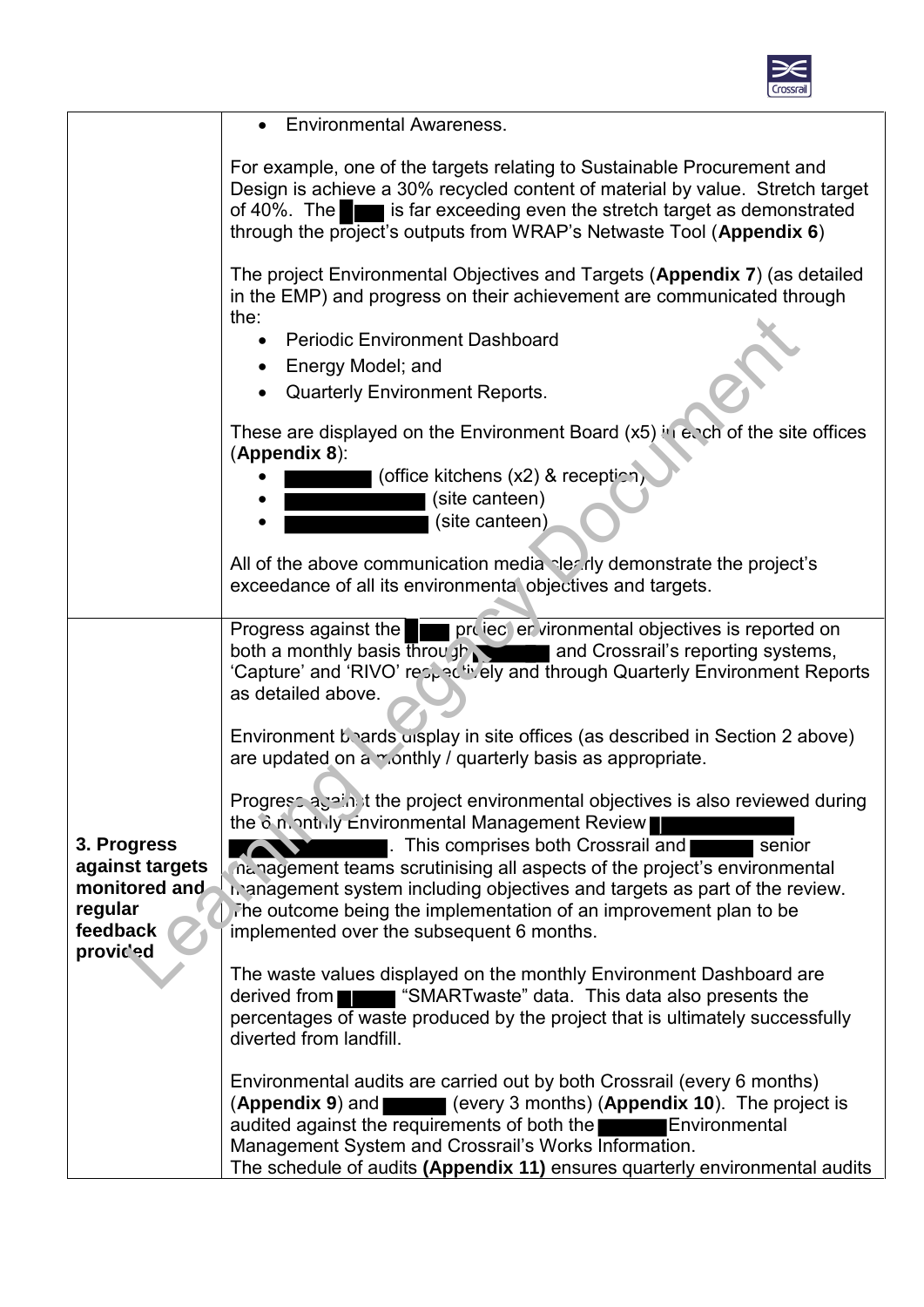

|                                                                                     | <b>Environmental Awareness.</b>                                                                                                                                                                                                                                                                                                                       |
|-------------------------------------------------------------------------------------|-------------------------------------------------------------------------------------------------------------------------------------------------------------------------------------------------------------------------------------------------------------------------------------------------------------------------------------------------------|
|                                                                                     | For example, one of the targets relating to Sustainable Procurement and<br>Design is achieve a 30% recycled content of material by value. Stretch target<br>of 40%. The strate is far exceeding even the stretch target as demonstrated<br>through the project's outputs from WRAP's Netwaste Tool (Appendix 6)                                       |
|                                                                                     | The project Environmental Objectives and Targets (Appendix 7) (as detailed<br>in the EMP) and progress on their achievement are communicated through<br>the:                                                                                                                                                                                          |
|                                                                                     | <b>Periodic Environment Dashboard</b><br>• Energy Model; and<br><b>Quarterly Environment Reports.</b>                                                                                                                                                                                                                                                 |
|                                                                                     | These are displayed on the Environment Board $(x5)$ in each of the site offices<br>(Appendix 8):<br>(office kitchens (x2) & reception,<br>(site canteen)                                                                                                                                                                                              |
|                                                                                     | (site canteen)                                                                                                                                                                                                                                                                                                                                        |
|                                                                                     | All of the above communication media electric demonstrate the project's<br>exceedance of all its environmental objectives and targets.                                                                                                                                                                                                                |
|                                                                                     | Progress against the provised environmental objectives is reported on<br>both a monthly basis through and Crossrail's reporting systems,<br>'Capture' and 'RIVO' respectively and through Quarterly Environment Reports<br>as detailed above.                                                                                                         |
| 3. Progress<br>against targets<br>monitored and<br>regular<br>feedback<br>provic'ed | Environment beards uisplay in site offices (as described in Section 2 above)<br>are updated on a monthly / quarterly basis as appropriate.                                                                                                                                                                                                            |
|                                                                                     | Progress again it the project environmental objectives is also reviewed during<br>the $\delta$ n. ontilly Environmental Management Review<br>This comprises both Crossrail and<br>senior<br>nanagement teams scrutinising all aspects of the project's environmental                                                                                  |
|                                                                                     | in anagement system including objectives and targets as part of the review.<br>The outcome being the implementation of an improvement plan to be<br>implemented over the subsequent 6 months.                                                                                                                                                         |
|                                                                                     | The waste values displayed on the monthly Environment Dashboard are<br>derived from <b>THE SMART</b> was te" data. This data also presents the<br>percentages of waste produced by the project that is ultimately successfully<br>diverted from landfill.                                                                                             |
|                                                                                     | Environmental audits are carried out by both Crossrail (every 6 months)<br>(every 3 months) (Appendix 10). The project is<br>(Appendix 9) and<br>audited against the requirements of both the<br>Environmental<br>Management System and Crossrail's Works Information.<br>The schedule of audits (Appendix 11) ensures quarterly environmental audits |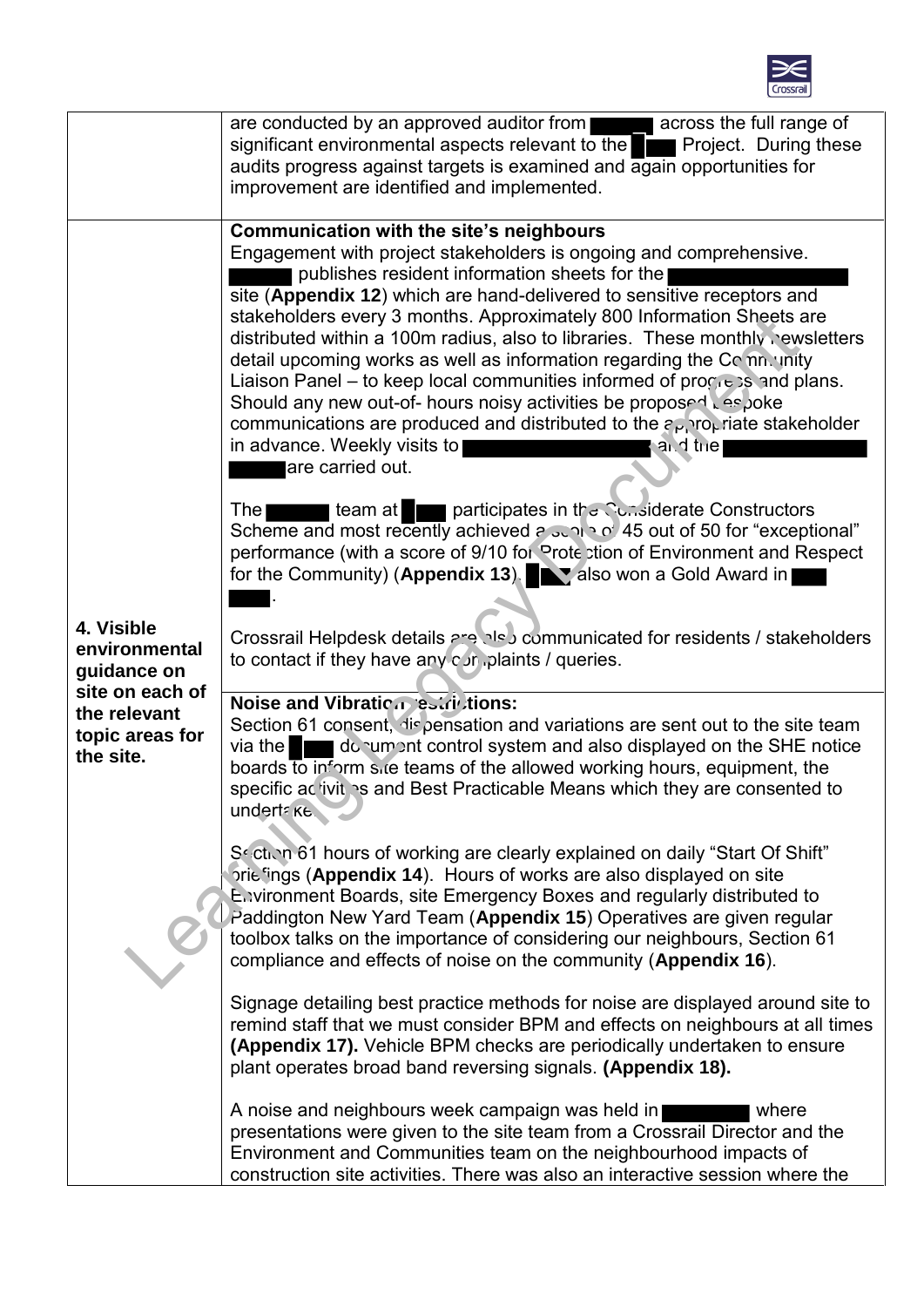

|                                                                                                               | are conducted by an approved auditor from <b>THE LAN</b> across the full range of<br>significant environmental aspects relevant to the<br>Project. During these<br>audits progress against targets is examined and again opportunities for<br>improvement are identified and implemented.                                                                                                                                                                                                                                                                                                                                                                                                                                                                                                                      |
|---------------------------------------------------------------------------------------------------------------|----------------------------------------------------------------------------------------------------------------------------------------------------------------------------------------------------------------------------------------------------------------------------------------------------------------------------------------------------------------------------------------------------------------------------------------------------------------------------------------------------------------------------------------------------------------------------------------------------------------------------------------------------------------------------------------------------------------------------------------------------------------------------------------------------------------|
| 4. Visible<br>environmental<br>guidance on<br>site on each of<br>the relevant<br>topic areas for<br>the site. | Communication with the site's neighbours<br>Engagement with project stakeholders is ongoing and comprehensive.<br>publishes resident information sheets for the<br>site (Appendix 12) which are hand-delivered to sensitive receptors and<br>stakeholders every 3 months. Approximately 800 Information Sheets are<br>distributed within a 100m radius, also to libraries. These monthly rewsletters<br>detail upcoming works as well as information regarding the Com. unity<br>Liaison Panel – to keep local communities informed of progress and plans.<br>Should any new out-of- hours noisy activities be proposed Les Joke<br>communications are produced and distributed to the $\epsilon_{\text{Pl}}$ ro <sub>k</sub> riate stakeholder<br>in advance. Weekly visits to<br>and the<br>are carried out. |
|                                                                                                               | team at participates in the Constructors team at participates in the Constructors<br><b>The</b><br>Scheme and most recently achieved a suntain of 45 out of 50 for "exceptional"<br>performance (with a score of 9/10 for Prote ction of Environment and Respect<br>for the Community) (Appendix 13). A also won a Gold Award in                                                                                                                                                                                                                                                                                                                                                                                                                                                                               |
|                                                                                                               | Crossrail Helpdesk details are also communicated for residents / stakeholders<br>to contact if they have any $\cos$ , plaints / queries.                                                                                                                                                                                                                                                                                                                                                                                                                                                                                                                                                                                                                                                                       |
|                                                                                                               | Noise and Vibration estrictions:<br>Section 61 consent, dispensation and variations are sent out to the site team<br>via the $\blacksquare$<br>donument control system and also displayed on the SHE notice<br>boards to inform site teams of the allowed working hours, equipment, the<br>specific ac ivit s and Best Practicable Means which they are consented to<br>undertake.                                                                                                                                                                                                                                                                                                                                                                                                                             |
|                                                                                                               | So ction 61 hours of working are clearly explained on daily "Start Of Shift"<br>prie fings (Appendix 14). Hours of works are also displayed on site<br>Environment Boards, site Emergency Boxes and regularly distributed to<br>Paddington New Yard Team (Appendix 15) Operatives are given regular<br>toolbox talks on the importance of considering our neighbours, Section 61<br>compliance and effects of noise on the community (Appendix 16).                                                                                                                                                                                                                                                                                                                                                            |
|                                                                                                               | Signage detailing best practice methods for noise are displayed around site to<br>remind staff that we must consider BPM and effects on neighbours at all times<br>(Appendix 17). Vehicle BPM checks are periodically undertaken to ensure<br>plant operates broad band reversing signals. (Appendix 18).                                                                                                                                                                                                                                                                                                                                                                                                                                                                                                      |
|                                                                                                               | A noise and neighbours week campaign was held in<br>where<br>presentations were given to the site team from a Crossrail Director and the<br>Environment and Communities team on the neighbourhood impacts of<br>construction site activities. There was also an interactive session where the                                                                                                                                                                                                                                                                                                                                                                                                                                                                                                                  |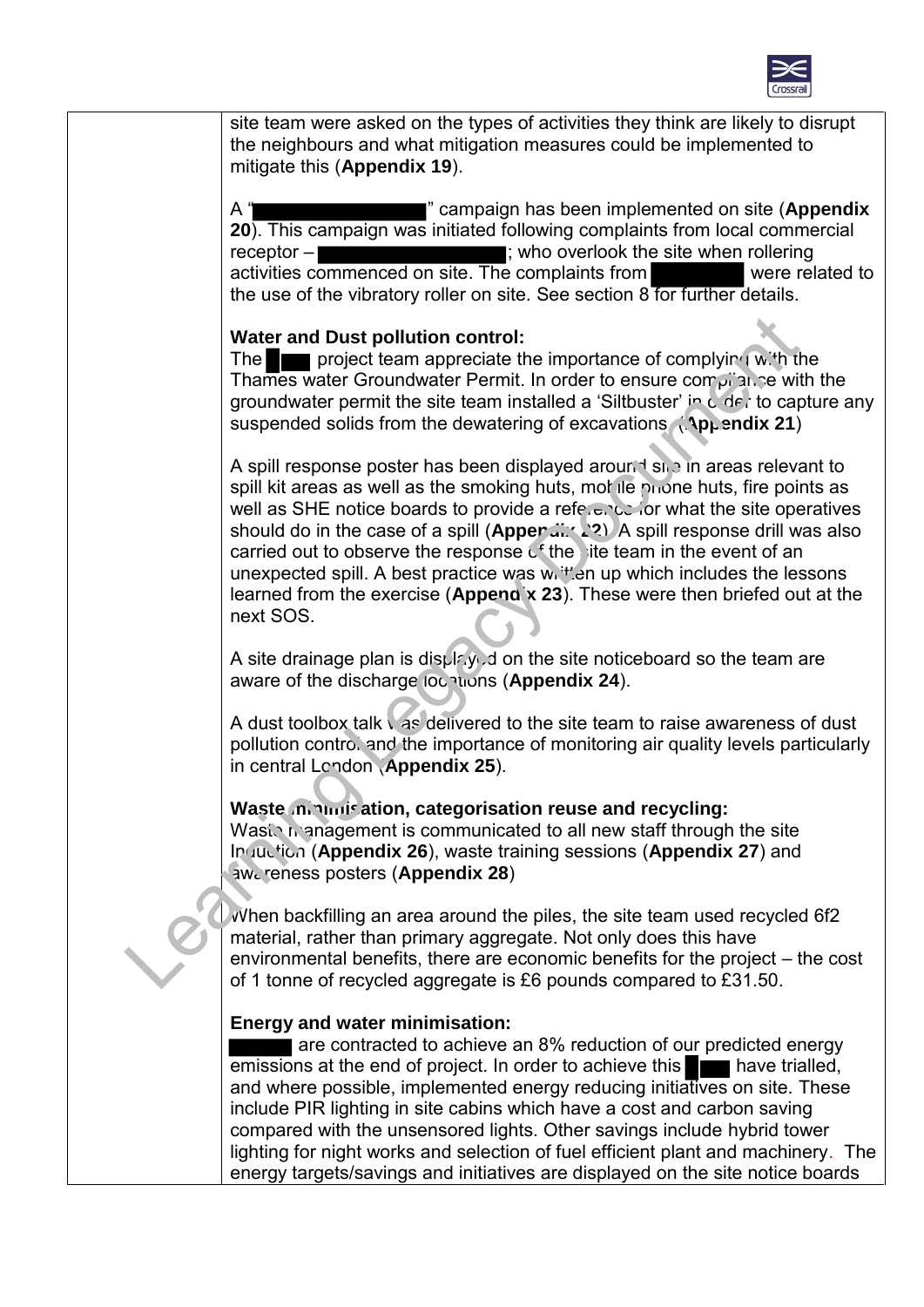

site team were asked on the types of activities they think are likely to disrupt the neighbours and what mitigation measures could be implemented to mitigate this (**Appendix 19**). A " " campaign has been implemented on site (**Appendix 20**). This campaign was initiated following complaints from local commercial receptor – **interest and the signal contract the site when rollering** ; who overlook the site when rollering activities commenced on site. The complaints from were related to the use of the vibratory roller on site. See section 8 for further details. **Water and Dust pollution control:** The **project team appreciate the importance of complying with the** Thames water Groundwater Permit. In order to ensure compliance with the groundwater permit the site team installed a 'Siltbuster' in  $C$  de, to capture any suspended solids from the dewatering of excavations. *Ap<sub>p</sub>* endix 21) A spill response poster has been displayed around site in areas relevant to spill kit areas as well as the smoking huts, mor lie phone huts, fire points as well as SHE notice boards to provide a reference for what the site operatives should do in the case of a spill (**Apper** 22). A spill response drill was also carried out to observe the response  $c<sup>4</sup>$  the site team in the event of an unexpected spill. A best practice was  $w_i$  <sup> $H_i$ </sup> en up which includes the lessons learned from the exercise (**Appendix 23**). These were then briefed out at the next SOS. A site drainage plan is displayed on the site noticeboard so the team are aware of the discharge locations (**Appendix 24**). A dust toolbox talk was delivered to the site team to raise awareness of dust pollution control and the importance of monitoring air quality levels particularly in central London (**Appendix 25**). **Waste minimisation, categorisation reuse and recycling:** Waste management is communicated to all new staff through the site Induction (**Appendix 26**), waste training sessions (**Appendix 27**) and awareness posters (**Appendix 28**) When backfilling an area around the piles, the site team used recycled 6f2 material, rather than primary aggregate. Not only does this have environmental benefits, there are economic benefits for the project – the cost of 1 tonne of recycled aggregate is £6 pounds compared to £31.50. **Energy and water minimisation: are contracted to achieve an 8% reduction of our predicted energy** emissions at the end of project. In order to achieve this **the latter have trialled**, and where possible, implemented energy reducing initiatives on site. These include PIR lighting in site cabins which have a cost and carbon saving compared with the unsensored lights. Other savings include hybrid tower lighting for night works and selection of fuel efficient plant and machinery. The energy targets/savings and initiatives are displayed on the site notice boards Water and Dust pollution control:<br>
The mass water Groundwater Permit. In order to ensure complying with a<br>
Thames water Groundwater Permit. In order to ensure complying with<br>
groundwater permit the site team installed a 'S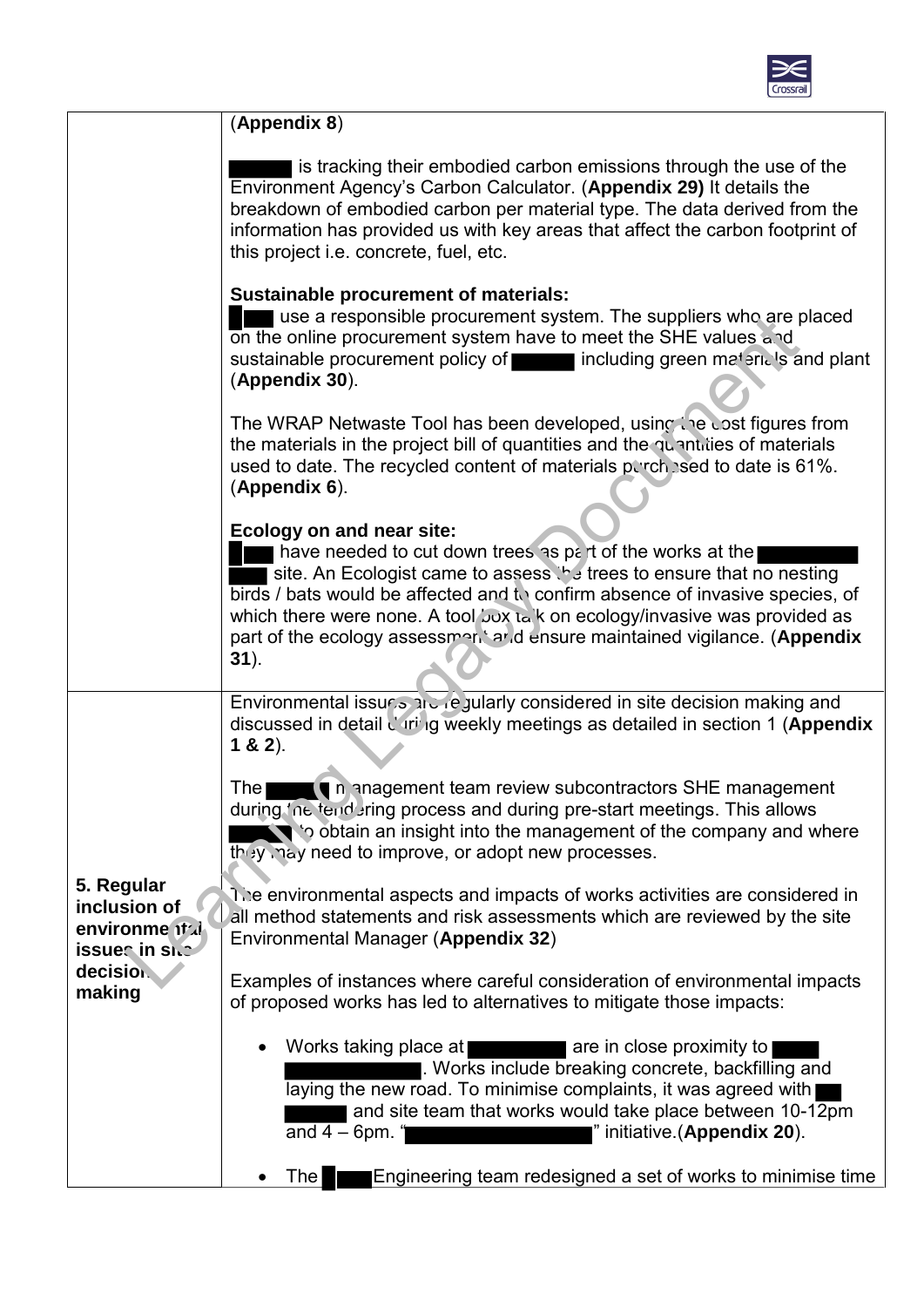

|                                                                                        | (Appendix 8)                                                                                                                                                                                                                                                                                                                                                                                                           |
|----------------------------------------------------------------------------------------|------------------------------------------------------------------------------------------------------------------------------------------------------------------------------------------------------------------------------------------------------------------------------------------------------------------------------------------------------------------------------------------------------------------------|
|                                                                                        | is tracking their embodied carbon emissions through the use of the<br>Environment Agency's Carbon Calculator. (Appendix 29) It details the<br>breakdown of embodied carbon per material type. The data derived from the<br>information has provided us with key areas that affect the carbon footprint of<br>this project i.e. concrete, fuel, etc.                                                                    |
|                                                                                        | <b>Sustainable procurement of materials:</b><br>use a responsible procurement system. The suppliers who are placed<br>on the online procurement system have to meet the SHE values and<br>sustainable procurement policy of including green materials and plant<br>(Appendix 30).                                                                                                                                      |
|                                                                                        | The WRAP Netwaste Tool has been developed, using the cost figures from<br>the materials in the project bill of quantities and the quantities of materials<br>used to date. The recycled content of materials perchased to date is 61%.<br>$(Appendix 6)$ .                                                                                                                                                             |
|                                                                                        | Ecology on and near site:<br>have needed to cut down trees as part of the works at the<br>site. An Ecologist came to assess the trees to ensure that no nesting<br>birds / bats would be affected and to confirm absence of invasive species, of<br>which there were none. A tool 'oux tak on ecology/invasive was provided as<br>part of the ecology assessment and ensure maintained vigilance. (Appendix<br>$31$ ). |
|                                                                                        | Environmental issues and regularly considered in site decision making and<br>discussed in detail d'iri ig weekly meetings as detailed in section 1 (Appendix<br>$1 & 2$ ).                                                                                                                                                                                                                                             |
| 5. Regular<br>inclusion of<br>environme it de<br>issues in site<br>decision.<br>making | n anagement team review subcontractors SHE management<br><b>The</b><br>during 'ne tend ring process and during pre-start meetings. This allows<br>$\blacksquare$ to obtain an insight into the management of the company and where<br>they may need to improve, or adopt new processes.                                                                                                                                |
|                                                                                        | The environmental aspects and impacts of works activities are considered in<br>all method statements and risk assessments which are reviewed by the site<br>Environmental Manager (Appendix 32)                                                                                                                                                                                                                        |
|                                                                                        | Examples of instances where careful consideration of environmental impacts<br>of proposed works has led to alternatives to mitigate those impacts:                                                                                                                                                                                                                                                                     |
|                                                                                        | Works taking place at<br>are in close proximity to<br>. Works include breaking concrete, backfilling and<br>laying the new road. To minimise complaints, it was agreed with<br>and site team that works would take place between 10-12pm<br>and $4-6$ pm. "<br>i" initiative (Appendix 20).                                                                                                                            |
|                                                                                        | Engineering team redesigned a set of works to minimise time<br><b>The</b>                                                                                                                                                                                                                                                                                                                                              |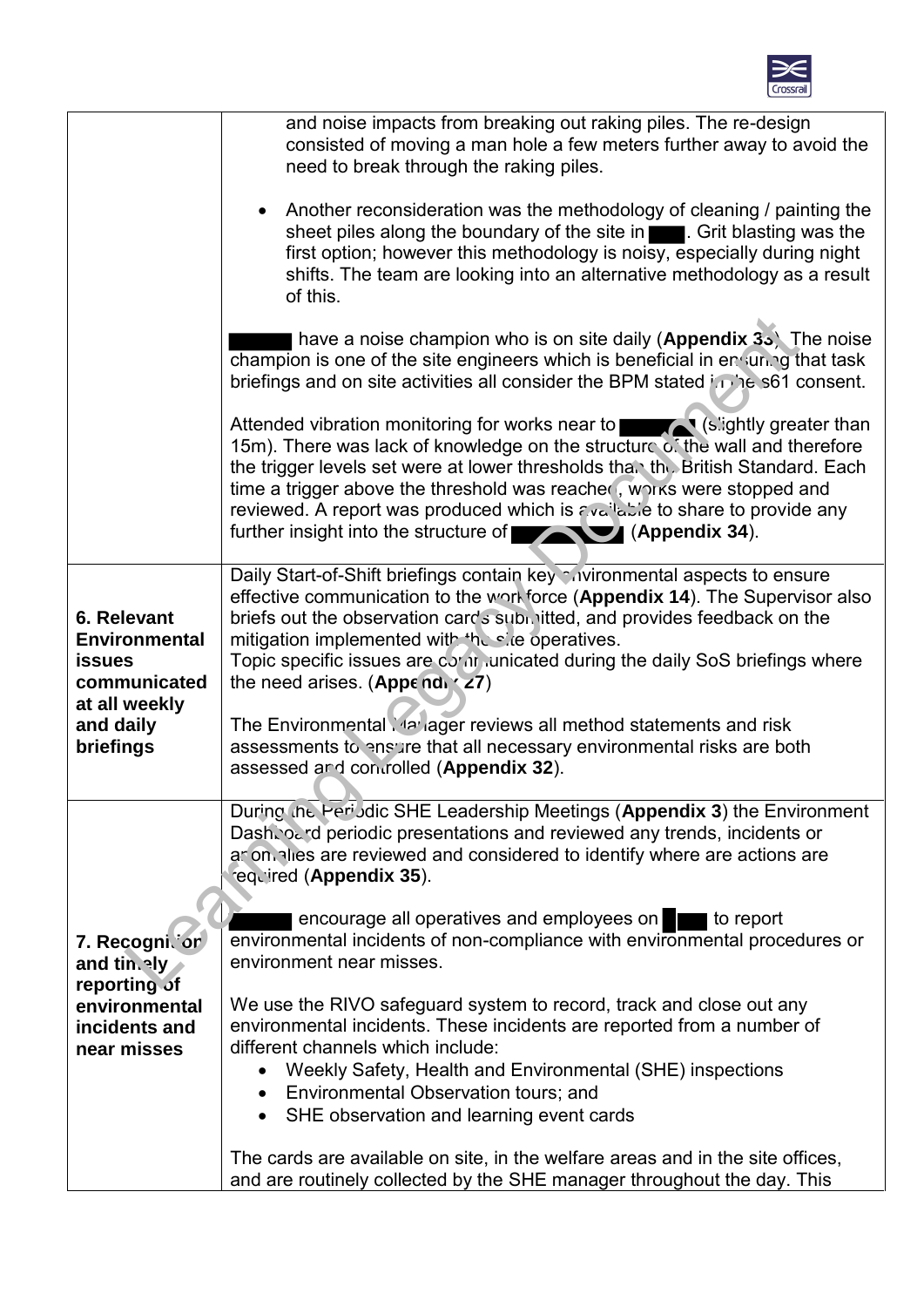

|                                                                      | and noise impacts from breaking out raking piles. The re-design<br>consisted of moving a man hole a few meters further away to avoid the<br>need to break through the raking piles.                                                                                                                                                                                                                                                                                                                                                               |
|----------------------------------------------------------------------|---------------------------------------------------------------------------------------------------------------------------------------------------------------------------------------------------------------------------------------------------------------------------------------------------------------------------------------------------------------------------------------------------------------------------------------------------------------------------------------------------------------------------------------------------|
|                                                                      | • Another reconsideration was the methodology of cleaning / painting the<br>sheet piles along the boundary of the site in <b>Theory</b> . Grit blasting was the<br>first option; however this methodology is noisy, especially during night<br>shifts. The team are looking into an alternative methodology as a result<br>of this.                                                                                                                                                                                                               |
|                                                                      | have a noise champion who is on site daily (Appendix $35$ ). The noise<br>champion is one of the site engineers which is beneficial in ensuring that task<br>briefings and on site activities all consider the BPM stated in he s61 consent.                                                                                                                                                                                                                                                                                                      |
|                                                                      | Attended vibration monitoring for works near to <b>Attended vibration</b> monitoring for works near to <b>Attended</b> (slightly greater than<br>15m). There was lack of knowledge on the structure of the wall and therefore<br>the trigger levels set were at lower thresholds than the British Standard. Each<br>time a trigger above the threshold was reacher, WOIKS were stopped and<br>reviewed. A report was produced which is available to share to provide any<br>further insight into the structure of <b>Table 10 (Appendix 34)</b> . |
| 6. Relevant<br><b>Environmental</b><br><b>issues</b><br>communicated | Daily Start-of-Shift briefings contain key mivironmental aspects to ensure<br>effective communication to the workforce (Appendix 14). The Supervisor also<br>briefs out the observation cards submitted, and provides feedback on the<br>mitigation implemented with the site operatives.<br>Topic specific issues are contriunicated during the daily SoS briefings where<br>the need arises. (Appendi $\langle 27 \rangle$                                                                                                                      |
| at all weekly<br>and daily<br>briefings                              | The Environmental Yaz ager reviews all method statements and risk<br>assessments to ensure that all necessary environmental risks are both<br>assessed and controlled (Appendix 32).                                                                                                                                                                                                                                                                                                                                                              |
|                                                                      | During the Peri Jdic SHE Leadership Meetings (Appendix 3) the Environment<br>Dash, o. d periodic presentations and reviewed any trends, incidents or<br>ar on alles are reviewed and considered to identify where are actions are<br>required (Appendix 35).                                                                                                                                                                                                                                                                                      |
| 7. Recognicor<br>and tin.aly                                         | encourage all operatives and employees on<br>I to report<br>environmental incidents of non-compliance with environmental procedures or<br>environment near misses.                                                                                                                                                                                                                                                                                                                                                                                |
| reporting of<br>environmental<br>incidents and<br>near misses        | We use the RIVO safeguard system to record, track and close out any<br>environmental incidents. These incidents are reported from a number of<br>different channels which include:<br>Weekly Safety, Health and Environmental (SHE) inspections<br>Environmental Observation tours; and<br>$\bullet$<br>SHE observation and learning event cards                                                                                                                                                                                                  |
|                                                                      | The cards are available on site, in the welfare areas and in the site offices,<br>and are routinely collected by the SHE manager throughout the day. This                                                                                                                                                                                                                                                                                                                                                                                         |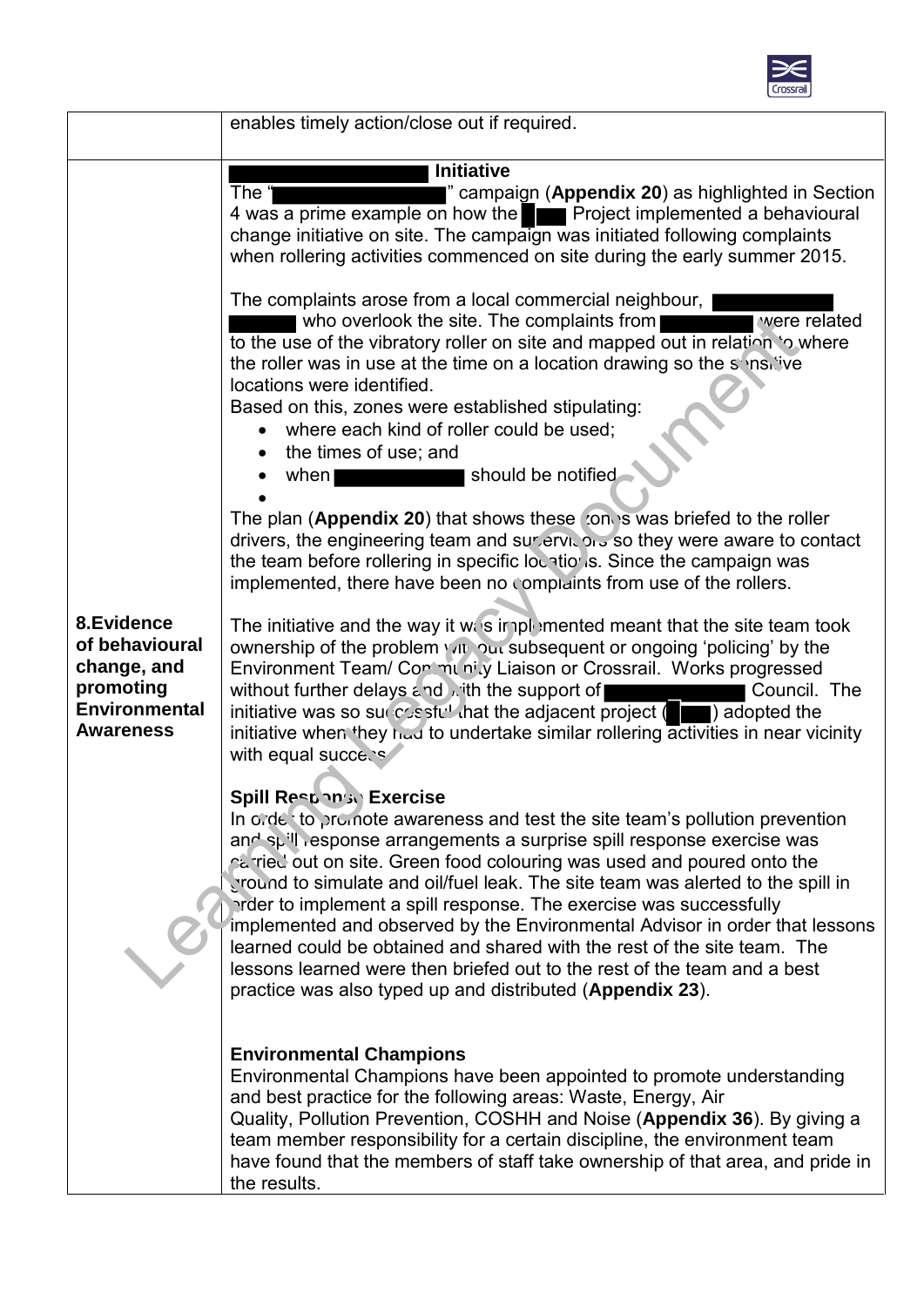

|                                                                                                      | enables timely action/close out if required.                                                                                                                                                                                                                                                                                                                                                                                                                                                                                                                                                                                                                                                                                   |
|------------------------------------------------------------------------------------------------------|--------------------------------------------------------------------------------------------------------------------------------------------------------------------------------------------------------------------------------------------------------------------------------------------------------------------------------------------------------------------------------------------------------------------------------------------------------------------------------------------------------------------------------------------------------------------------------------------------------------------------------------------------------------------------------------------------------------------------------|
|                                                                                                      | <b>Initiative</b>                                                                                                                                                                                                                                                                                                                                                                                                                                                                                                                                                                                                                                                                                                              |
|                                                                                                      | The "<br>" campaign (Appendix 20) as highlighted in Section<br>4 was a prime example on how the <b>Fig. 1</b> Project implemented a behavioural<br>change initiative on site. The campaign was initiated following complaints<br>when rollering activities commenced on site during the early summer 2015.                                                                                                                                                                                                                                                                                                                                                                                                                     |
|                                                                                                      | The complaints arose from a local commercial neighbour,<br>were related<br>who overlook the site. The complaints from<br>to the use of the vibratory roller on site and mapped out in relation to where<br>the roller was in use at the time on a location drawing so the sensitive<br>locations were identified.<br>Based on this, zones were established stipulating:<br>• where each kind of roller could be used;<br>the times of use; and<br>should be notified<br>when<br>The plan (Appendix 20) that shows these convisional briefed to the roller                                                                                                                                                                      |
|                                                                                                      | drivers, the engineering team and surjetyle of 5 so they were aware to contact<br>the team before rollering in specific lountions. Since the campaign was<br>implemented, there have been no complaints from use of the rollers.                                                                                                                                                                                                                                                                                                                                                                                                                                                                                               |
| 8.Evidence<br>of behavioural<br>change, and<br>promoting<br><b>Environmental</b><br><b>Awareness</b> | The initiative and the way it was implemented meant that the site team took<br>ownership of the problem you but subsequent or ongoing 'policing' by the<br>Environment Team/ Con munity Liaison or Crossrail. Works progressed<br>without further delays and with the support of<br>Council. The<br>initiative was so surfer stull hat the adjacent project $($ adopted the<br>initiative when they had to undertake similar rollering activities in near vicinity<br>with equal success                                                                                                                                                                                                                                       |
|                                                                                                      | <b>Spill Responso Exercise</b><br>In ordet to promote awareness and test the site team's pollution prevention<br>and spill response arrangements a surprise spill response exercise was<br>parried out on site. Green food colouring was used and poured onto the<br>ground to simulate and oil/fuel leak. The site team was alerted to the spill in<br>arder to implement a spill response. The exercise was successfully<br>implemented and observed by the Environmental Advisor in order that lessons<br>learned could be obtained and shared with the rest of the site team. The<br>lessons learned were then briefed out to the rest of the team and a best<br>practice was also typed up and distributed (Appendix 23). |
|                                                                                                      | <b>Environmental Champions</b><br>Environmental Champions have been appointed to promote understanding<br>and best practice for the following areas: Waste, Energy, Air<br>Quality, Pollution Prevention, COSHH and Noise (Appendix 36). By giving a<br>team member responsibility for a certain discipline, the environment team<br>have found that the members of staff take ownership of that area, and pride in<br>the results.                                                                                                                                                                                                                                                                                            |